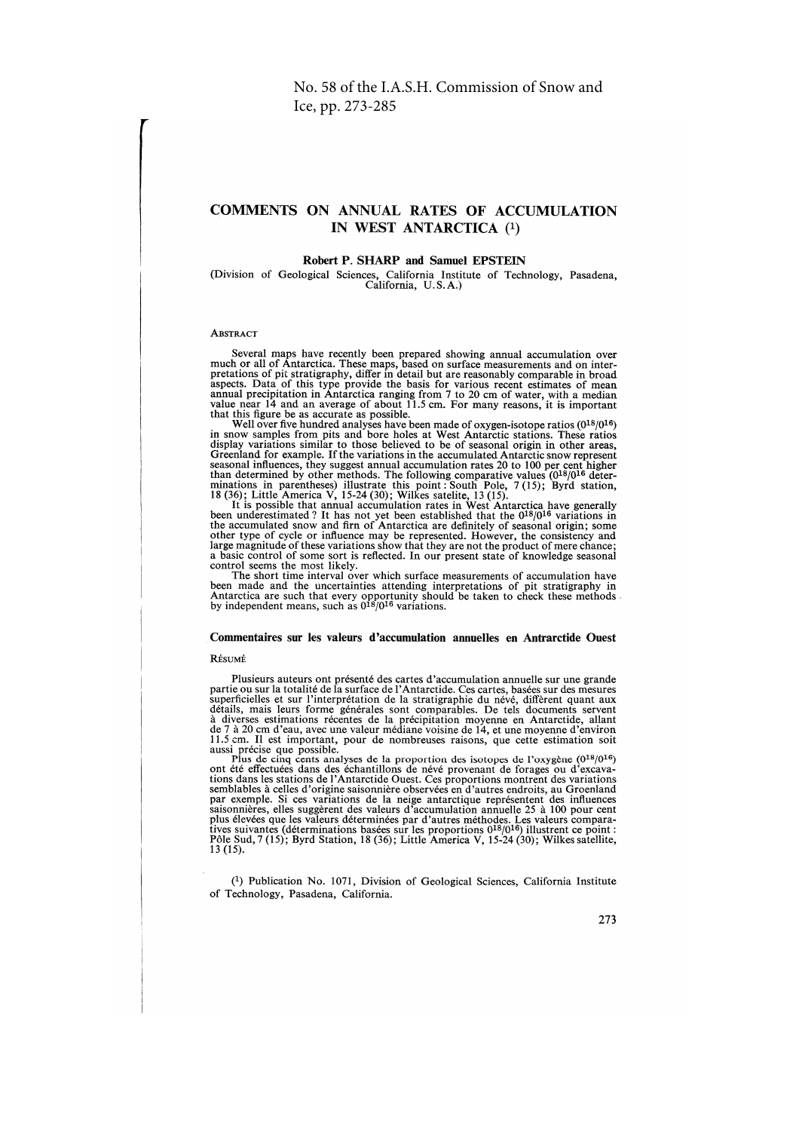# **COMMENTS ON ANNUAL RATES OF ACCUMULATION** IN WEST ANTARCTICA (1)

# Robert P. SHARP and Samuel EPSTEIN

(Division of Geological Sciences, California Institute of Technology, Pasadena, California, U.S.A.)

# **ABSTRACT**

Several maps have recently been prepared showing annual accumulation over much or all of Antarctica. These maps, based on surface measurements and on inter-<br>pretations of pit stratigraphy, differ in detail but are reasonably comparable in broad procedures to this type provide the basis for various recent estimates of mean<br>annual precipitation in Antarctica ranging from 7 to 20 cm of water, with a median<br>value near 14 and an average of about 11.5 cm. For many reas

while near 14 and an average of about 11.5 cm. For many reasons, it is important<br>that this figure be as accurate as possible.<br>Well over five hundred analyses have been made of oxygen-isotope ratios (0<sup>18</sup>/0<sup>16</sup>)<br>in snow s

control seems the most likely.

The short time interval over which surface measurements of accumulation have<br>been made and the uncertainties attending interpretations of pit stratigraphy in<br>Antarctica are such that every opportunity should be taken to c

# Commentaires sur les valeurs d'accumulation annuelles en Antrarctide Ouest

#### RÉSUMÉ

Plusieurs auteurs ont présenté des cartes d'accumulation annuelle sur une grande partie ou sur la totalité de la surface de l'Antarctide. Ces cartes, basées sur des mesures particielles et sur l'interprétation de la stratigraphie du névé, diffèrent quant aux<br>superficielles et sur l'interprétation de la stratigraphie du névé, diffèrent quant aux<br>détails, mais leurs forme générales sont compara

aussi précise que possible.<br>
Plus de cinq cents analyses de la proportion des isotopes de l'oxygène (0<sup>18</sup>/0<sup>16</sup>)<br>
plus de cinq cents analyses de la proportion des isotopes de l'oxygène (0<sup>18</sup>/0<sup>16</sup>)<br>
ont été effectuées da tions dans les stations de l'Antacchie Ouest. Ces proportions montrent des variations<br>semblables à celles d'origine saisonnière observées en d'autres endroits, au Groenland<br>par exemple. Si ces variations de la neige antac  $13(15)$ .

(1) Publication No. 1071, Division of Geological Sciences, California Institute of Technology, Pasadena, California.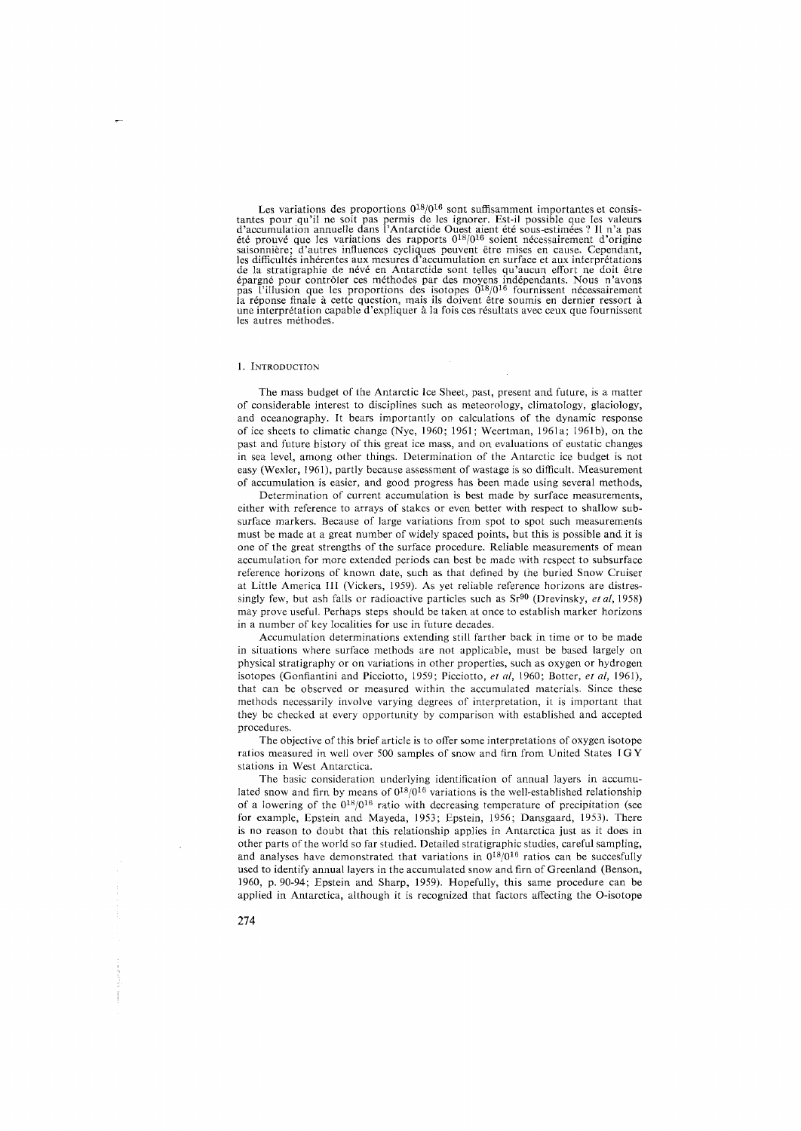Les variations des proportions  $0^{18}/0^{16}$  sont suffisamment importantes et consistantes pour qu'il ne soit pas permis de les ignorer. Est-il possible que les valeurs<br>d'accumulation annuelle dans l'Antarctide Ouest aient été sous-estimées? Il n'a pas<br>eté prouvé que les variations des rapports  $0^{18}/0^{1$ de la stratigraphie de névé en Antarctide sont telles qu'aucun effort ne doit être<br>épargné pour contrôler ces méthodes par des moyens indépendants. Nous n'avons<br>pas l'illusion que les proportions des isotopes  $0^{18}/0^{16}$ les autres methodes.

#### 1. INTRODUCTION

The mass budget of the Antarctic Ice Sheet, past, present and future, is a matter of considerable interest to disciplines such as meteorology, climatology, glaciology, and oceanography. It bears importantly on calculations of the dynamic response of ice sheets to climatic change (Nye, 1960; 1961; Weertman, 1961a; 1961b), on the past and future history of this great ice mass, and on evaluations of eustatic changes in sea level, among other things. Determination of the Antarctic ice budget is not easy (Wexler, 1961), partly because assessment of wastage is so difficult. Measurement of accumulation is easier, and good progress has been made using several methods,

Determination of current accumulation is best made by surface measurements, either with reference to arrays of stakes or even better with respect to shallow subsurface markers. Because of large variations from spot to spot such measurements must be made at a great number of widely spaced points, but this is possible and it is one of the great strengths of the surface procedure. Reliable measurements of mean accumulation for more extended periods can best be made with respect to subsurface reference horizons of known date, such as that defined by the buried Snow Cruiser at Little America III (Vickers, 1959). As yet reliable reference horizons are distressingly few, but ash falls or radioactive particles such as Sr90 (Drevinsky, *eta/,* 1958) may prove useful. Perhaps steps should be taken at once to establish marker horizons in a number of key localities for use in future decades.

Accumulation determinations extending still farther back in time or to be made in situations where surface methods are not applicable, must be based largely on physical stratigraphy or on variations in other properties, such as oxygen or hydrogen isotopes (Gonfiantini and Picciotto, 1959; Picciotto, *et al,* 1960; Botter, *et al,* 1961), that can be observed or measured within the accumulated materials. Since these methods necessarily involve varying degrees of interpretation, it is important that they be checked at every opportunity by comparison with established and accepted procedures.

The objective of this brief article is to offer some interpretations of oxygen isotope ratios measured in well over 500 samples of snow and firn from United States I G Y stations in West Antarctica.

The basic consideration underlying identification of annual layers in accumulated snow and firn by means of  $0^{18}/0^{16}$  variations is the well-established relationship of a lowering of the  $0^{18}/0^{16}$  ratio with decreasing temperature of precipitation (see for example, Epstein and Mayeda, 1953; Epstein, 1956; Dansgaard, 1953). There is no reason to doubt that this relationship applies in Antarctica just as it does in other parts of the world so far studied. Detailed stratigraphic studies, careful sampling, and analyses have demonstrated that variations in  $0^{18}/0^{16}$  ratios can be succesfully used to identify annual layers in the accumulated snow and firn of Greenland (Benson, 1960, p. 90-94; Epstein and Sharp, 1959). Hopefully, this same procedure can be applied in Antarctica, although it is recognized that factors affecting the 0-isotope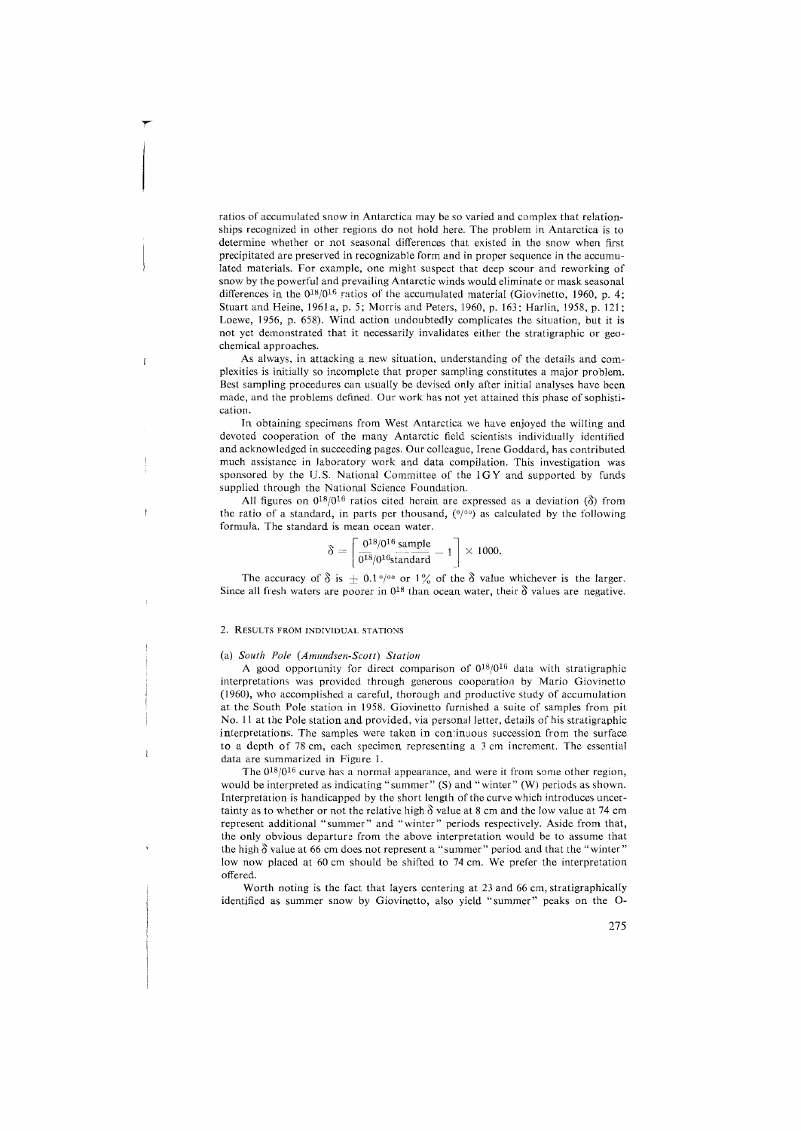ratios of accumulated snow in Antarctica may be so varied and complex that relationships recognized in other regions do not hold here. The problem in Antarctica is to determine whether or not seasonal differences that existed in the snow when first precipitated are preserved in recognizable form and in proper sequence in the accumulated materials. For example, one might suspect that deep scour and reworking of snow by the powerful and prevailing Antarctic winds would eliminate or mask seasonal differences in the  $0^{18}/0^{16}$  ratios of the accumulated material (Giovinetto, 1960, p. 4; Stuart and Heine, 1961 a, p. 5; Morris and Peters, 1960, p. 163; Harlin, 1958, p. 121; Loewe, 1956, p. 658). Wind action undoubtedly complicates the situation, but it is not yet demonstrated that it necessarily invalidates either the stratigraphic or geochemical approaches.

As always, in attacking a new situation, understanding of the details and complexities is initially so incomplete that proper sampling constitutes a major problem. Best sampling procedures can usually be devised only after initial analyses have been made, and the problems defined. Our work has not yet attained this phase of sophistication.

In obtaining specimens from West Antarctica we have enjoyed the willing and devoted cooperation of the many Antarctic field scientists individually identified and acknowledged in succeeding pages. Our colleague, Irene Goddard, has contributed much assistance in laboratory work and data compilation. This investigation was sponsored by the U.S. National Committee of the IGY and supported by funds supplied through the National Science Foundation.

All figures on  $0^{18}/0^{16}$  ratios cited herein are expressed as a deviation ( $\delta$ ) from the ratio of a standard, in parts per thousand,  $(0/00)$  as calculated by the following formula. The standard is mean ocean water.

$$
\delta = \left[ \frac{0^{18}/0^{16} \text{ sample}}{0^{18}/0^{16} \text{standard}} - 1 \right] \times 1000.
$$

The accuracy of  $\delta$  is  $\pm$  0.1% of 1% of the  $\delta$  value whichever is the larger. Since all fresh waters are poorer in  $0^{18}$  than ocean water, their  $\delta$  values are negative.

# 2. RESULTS FROM INDIVIDUAL STATIONS

 $\mathbf{I}$ 

## (a) *South Pole (Amundsen-Scott) Station*

A good opportunity for direct comparison of 018/016 data with stratigraphic interpretations was provided through generous cooperation by Mario Giovinetto (1960), who accomplished a careful, thorough and productive study of accumulation at the South Pole station in 1958. Giovinetto furnished a suite of samples from pit No. 11 at the Pole station and provided, via personal letter, details of his stratigraphic interpretations. The samples were taken in continuous succession from the surface to a depth of 78 cm, each specimen representing a 3 cm increment. The essential data are summarized in Figure 1.

The  $0^{18}/0^{16}$  curve has a normal appearance, and were it from some other region, would be interpreted as indicating "summer" (S) and "winter" (W) periods as shown. Interpretation is handicapped by the short length of the curve which introduces uncertainty as to whether or not the relative high  $\delta$  value at 8 cm and the low value at 74 cm represent additional "summer" and "winter" periods respectively. Aside from that, the only obvious departure from the above interpretation would be to assume that the high  $\delta$  value at 66 cm does not represent a "summer" period and that the "winter" low now placed at 60 cm should be shifted to 74 cm. We prefer the interpretation offered.

Worth noting is the fact that layers centering at 23 and 66 cm, stratigraphically identified as summer snow by Giovinetto, also yield "summer" peaks on the 0-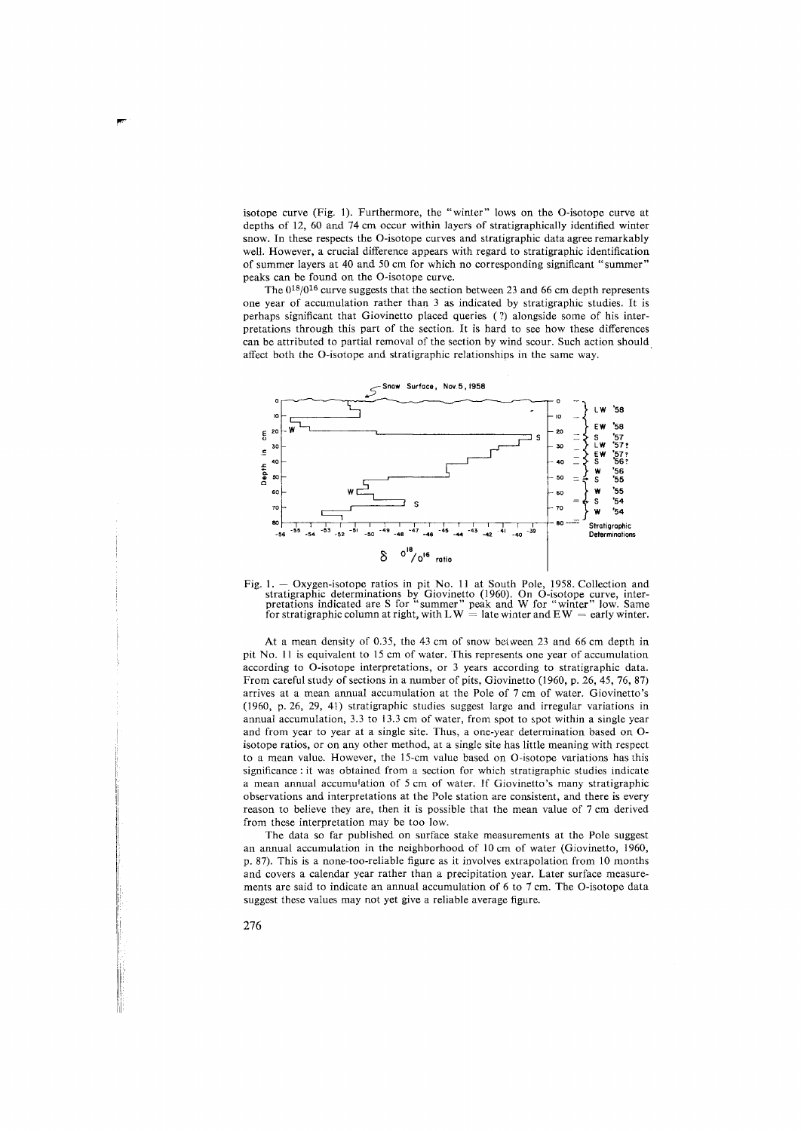isotope curve (Fig. 1). Furthermore, the "winter" lows on the 0-isotope curve at depths of 12, 60 and 74 cm occur within layers of stratigraphically identified winter snow. In these respects the 0-isotope curves and stratigraphic data agree remarkably well. However, a crucial difference appears with regard to stratigraphic identification of summer layers at 40 and 50 cm for which no corresponding significant "summer" peaks can be found on the 0-isotope curve.

The  $0^{18}/0^{16}$  curve suggests that the section between 23 and 66 cm depth represents one year of accumulation rather than 3 as indicated by stratigraphic studies. It is perhaps significant that Giovinetto placed queries ( ?) alongside some of his interpretations through this part of the section. It is hard to see how these differences can be attributed to partial removal of the section by wind scour. Such action should affect both the 0-isotope and stratigraphic relationships in the same way.





At a mean density of 0.35, the 43 cm of snow between 23 and 66 cm depth in pit No. 11 is equivalent to 15 cm of water. This represents one year of accumulation according to 0-isotope interpretations, or 3 years according to stratigraphic data. From careful study of sections in a number of pits, Giovinetto (1960, p. 26, 45, 76, 87) arrives at a mean annual accumulation at the Pole of 7 cm of water. Giovinetto's (1960, p. 26, 29, 41) stratigraphic studies suggest large and irregular variations in annual accumulation, 3.3 to 13.3 cm of water, from spot to spot within a single year and from year to year at a single site. Thus, a one-year determination based on 0 isotope ratios, or on any other method, at a single site has little meaning with respect to a mean value. However, the 15-cm value based on 0-isotope variations has this significance : it was obtained from a section for which stratigraphic studies indicate a mean annual accumulation of *5* cm of water. If Giovinetto's many stratigraphic observations and interpretations at the Pole station are consistent, and there is every reason to believe they are, then it is possible that the mean value of 7 cm derived from these interpretation may be too low.

The data so far published on surface stake measurements at the Pole suggest an annual accumulation in the neighborhood of 10 cm of water (Giovinetto, 1960, p. 87). This is a none-too-reliable figure as it involves extrapolation from 10 months and covers a calendar year rather than a precipitation year. Later surface measurements are said to indicate an annual accumulation of 6 to 7 cm. The 0-isotope data suggest these values may not yet give a reliable average figure.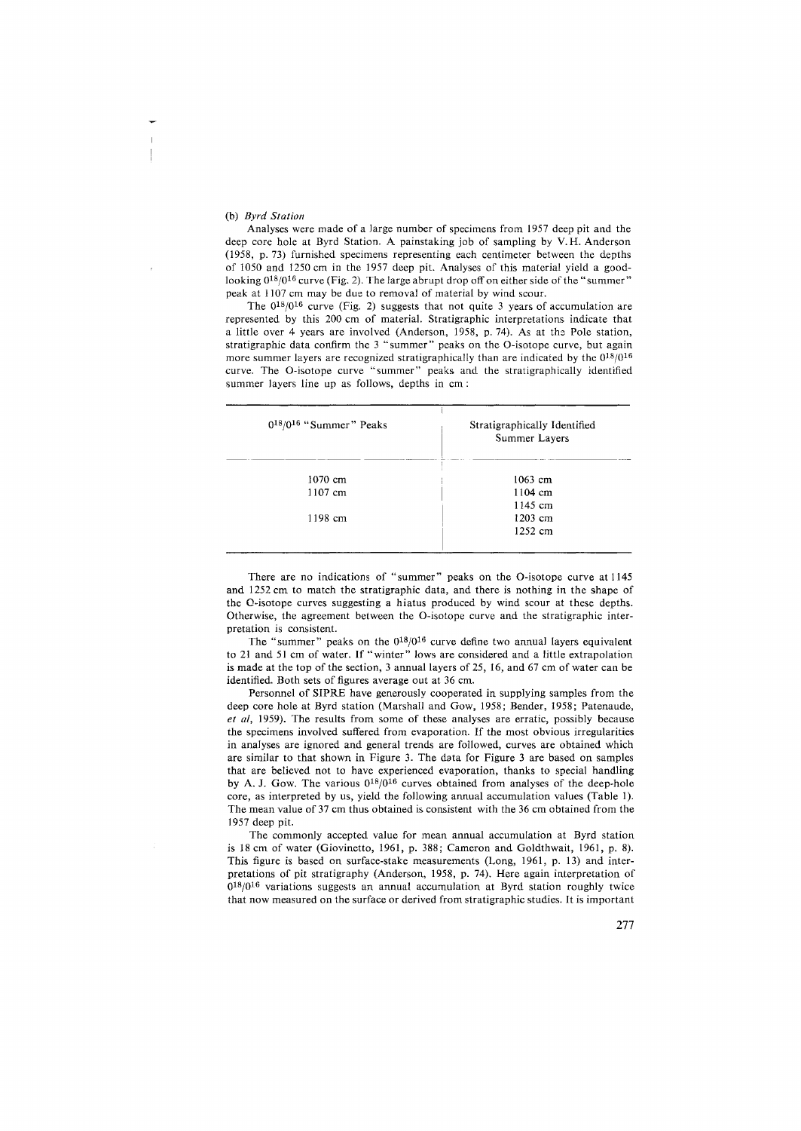#### (b) *Byrd Station*

Analyses were made of a large number of specimens from 1957 deep pit and the deep core hole at Byrd Station. A painstaking job of sampling by V. H. Anderson (1958, p. 73) furnished specimens representing each centimeter between the depths of 1050 and 1250 cm in the 1957 deep pit. Analyses of this material yield a goodlooking  $0^{18}/0^{16}$  curve (Fig. 2). The large abrupt drop off on either side of the "summer" peak at 1107 cm may be due to removal of material by wind scour.

The  $0^{18}/0^{16}$  curve (Fig. 2) suggests that not quite 3 years of accumulation are represented by this 200 cm of material. Stratigraphic interpretations indicate that a little over 4 years are involved (Anderson, 1958, p. 74). As at the Pole station, stratigraphic data confirm the 3 "summer" peaks on the 0-isotope curve, but again more summer layers are recognized stratigraphically than are indicated by the  $0^{18}/0^{16}$ curve. The 0-isotope curve "summer" peaks and the stratigraphically identified summer layers line up as follows, depths in cm :

| $0^{18}/0^{16}$ "Summer" Peaks | Stratigraphically Identified<br>Summer Layers |  |
|--------------------------------|-----------------------------------------------|--|
| 1070 cm                        | 1063 cm                                       |  |
| 1107 cm                        | $1104 \; \text{cm}$                           |  |
|                                | 1145 cm                                       |  |
| 1198 cm                        | $1203$ cm                                     |  |
|                                | 1252 cm                                       |  |

There are no indications of "summer" peaks on the 0-isotope curve at 1145 and 1252 cm to match the stratigraphic data, and there is nothing in the shape of the 0-isotope curves suggesting a hiatus produced by wind scour at these depths. Otherwise, the agreement between the 0-isotope curve and the stratigraphic interpretation is consistent.

The "summer" peaks on the  $0^{18}/0^{16}$  curve define two annual layers equivalent to 21 and 51 cm of water. If "winter" lows are considered and a little extrapolation is made at the top of the section, 3 annual layers of 25, 16, and 67 cm of water can be identified. Both sets of figures average out at 36 cm.

Personnel of SIPRE have generously cooperated in supplying samples from the deep core hole at Byrd station (Marshall and Gow, 1958; Bender, 1958; Patenaude, *et al,* 1959). The results from some of these analyses are erratic, possibly because the specimens involved suffered from evaporation. If the most obvious irregularities in analyses are ignored and general trends are followed, curves are obtained which are similar to that shown in Figure 3. The data for Figure 3 are based on samples that are believed not to have experienced evaporation, thanks to special handling by A. J. Gow. The various  $0^{18}/0^{16}$  curves obtained from analyses of the deep-hole core, as interpreted by us, yield the following annual accumulation values (Table 1). The mean value of 37 cm thus obtained is consistent with the 36 cm obtained from the 1957 deep pit.

The commonly accepted value for mean annual accumulation at Byrd station is 18 cm of water (Giovinetto, 1961, p. 388; Cameron and Goldthwait, 1961, p. 8). This figure is based on surface-stake measurements (Long, 1961, p. 13) and interpretations of pit stratigraphy (Anderson, 1958, p. 74). Here again interpretation of  $0^{18}/0^{16}$  variations suggests an annual accumulation at Byrd station roughly twice that now measured on the surface or derived from stratigraphic studies. It is important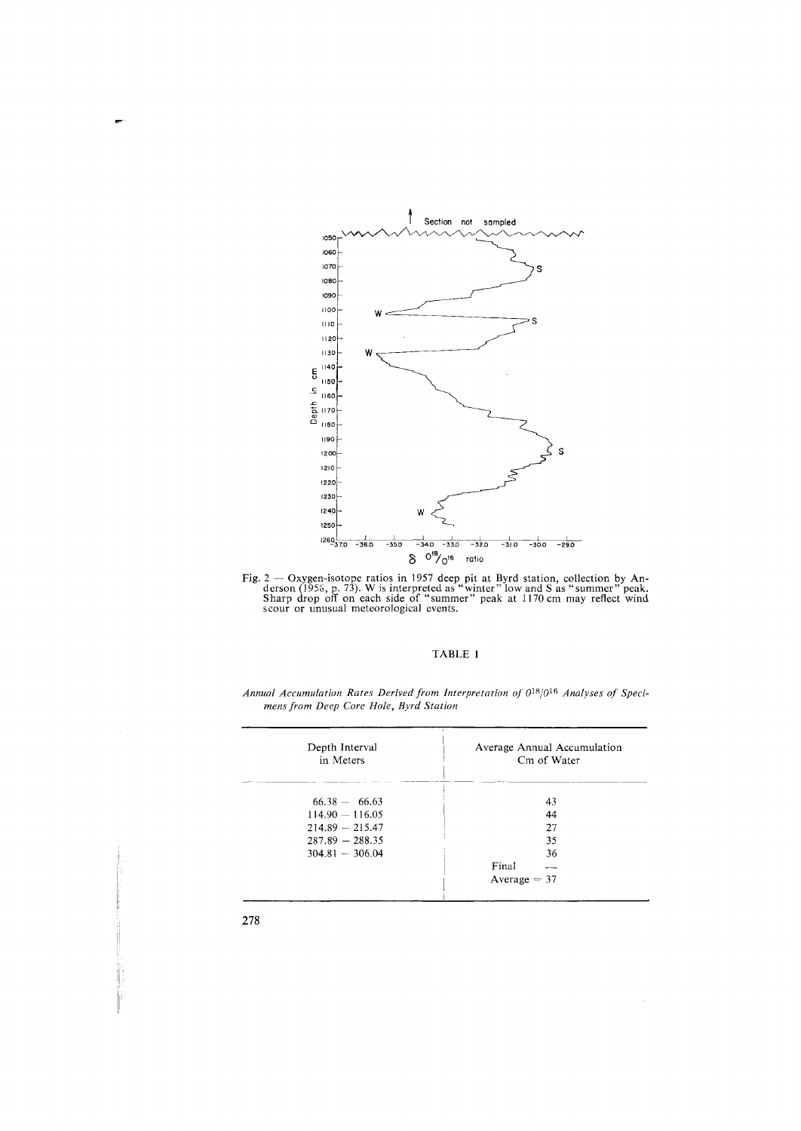

Fig.  $2 - \text{Oxygen-isotope ratios}$  in 1957 deep pit at Byrd station, collection by Anderson (1958, p. 73). W is interpreted as "winter" low and S as "summer" peak. Sharp drop off on each side of "summer" peak at 1170 cm may reflect wind

# TABLE I

| Depth Interval<br>in Meters | Average Annual Accumulation<br>Cm of Water |  |
|-----------------------------|--------------------------------------------|--|
| $66.38 - 66.63$             | 43                                         |  |
| $114.90 - 116.05$           | 44                                         |  |
| $214.89 - 215.47$           | 27                                         |  |
| $287.89 - 288.35$           | 35                                         |  |
| $304.81 - 306.04$           | 36                                         |  |
|                             | Final                                      |  |
|                             | Average $=$ 37                             |  |

Annual Accumulation Rates Derived from Interpretation of  $0^{18}/0^{16}$  Analyses of Specimens from Deep Core Hole, Byrd Station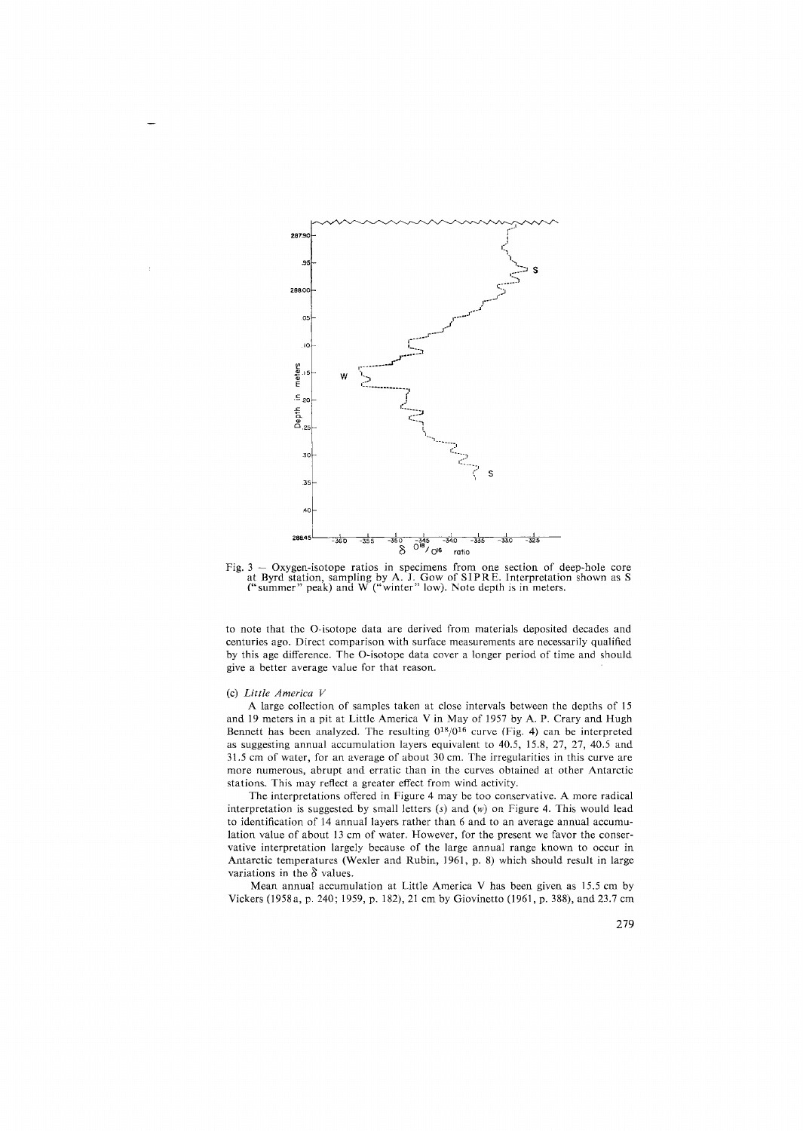

Fig. 3 - Oxygen-isotope ratios in specimens from one section of deep-hole core at Byrd station, sampling by A. J. Gow of SIP RE. Interpretation shown as S ("summer" peak) and W ("winter" low). Note depth is in meters.

to note that the 0-isotope data are derived from materials deposited decades and centuries ago. Direct comparison with surface measurements are necessarily qualified by this age difference. The 0-isotope data cover a longer period of time and should give a better average value for that reason.

# (c) *Little America V*

A large collection of samples taken at close intervals between the depths of 15 and 19 meters in a pit at Little America Vin May of 1957 by A. P. Crary and Hugh Bennett has been analyzed. The resulting  $0^{18}/0^{16}$  curve (Fig. 4) can be interpreted as suggesting annual accumulation layers equivalent to 40.5, 15.8, 27, 27, 40.5 and 31.5 cm of water, for an average of about 30 cm. The irregularities in this curve are more numerous, abrupt and erratic than in the curves obtained at other Antarctic stations. This may reflect a greater effect from wind activity.

The interpretations offered in Figure 4 may be too conservative. A more radical interpretation is suggested by small letters *(s)* and (w) on Figure 4. This would lead to identification of 14 annual layers rather than 6 and to an average annual accumulation value of about 13 cm of water. However, for the present we favor the conservative interpretation largely because of the large annual range known to occur in Antarctic temperatures (Wexler and Rubin, 1961, p. 8) which should result in large variations in the  $\delta$  values.

Mean annual accumulation at Little America V has been given as 15.5 cm by Vickers (1958a, p. 240; 1959, p. 182), 21 cm by Giovinetto (1961, p. 388), and 23.7 cm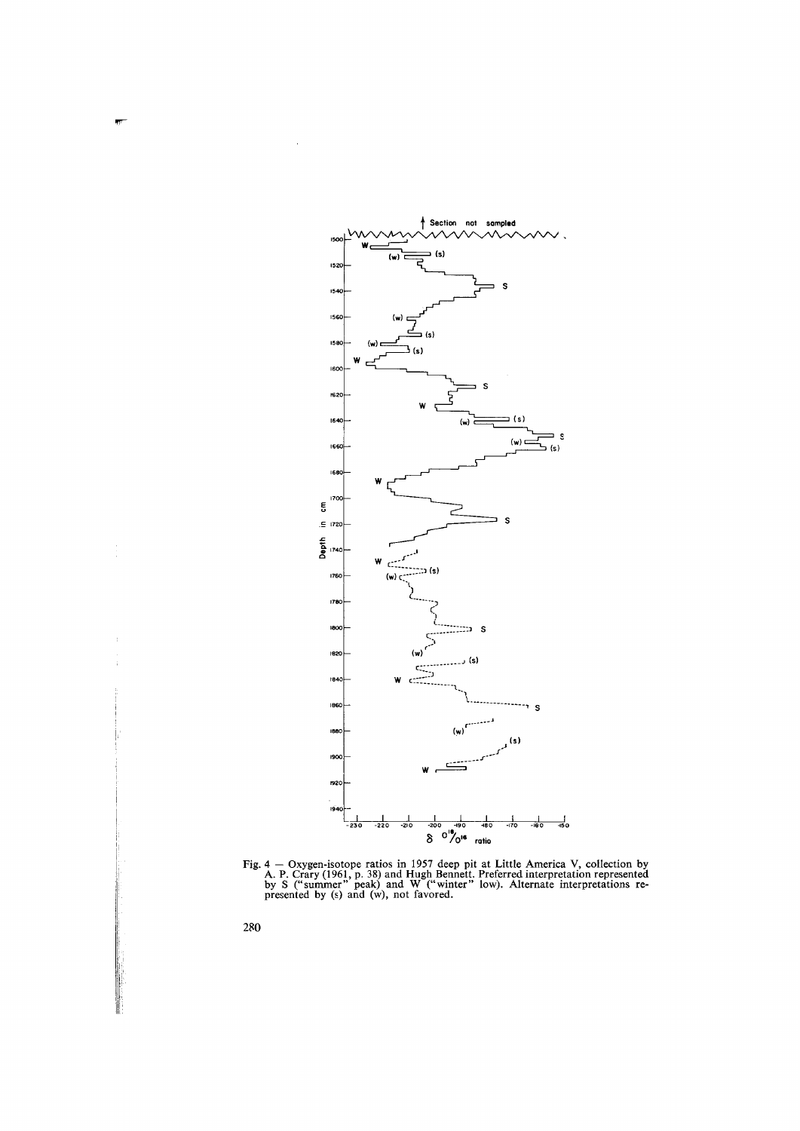

Fig. 4 – Oxygen-isotope ratios in 1957 deep pit at Little America V, collection by A. P. Crary (1961, p. 38) and Hugh Bennett. Preferred interpretation represented by S ("summer" peak) and W ("winter" low). Alternate inte

280

J,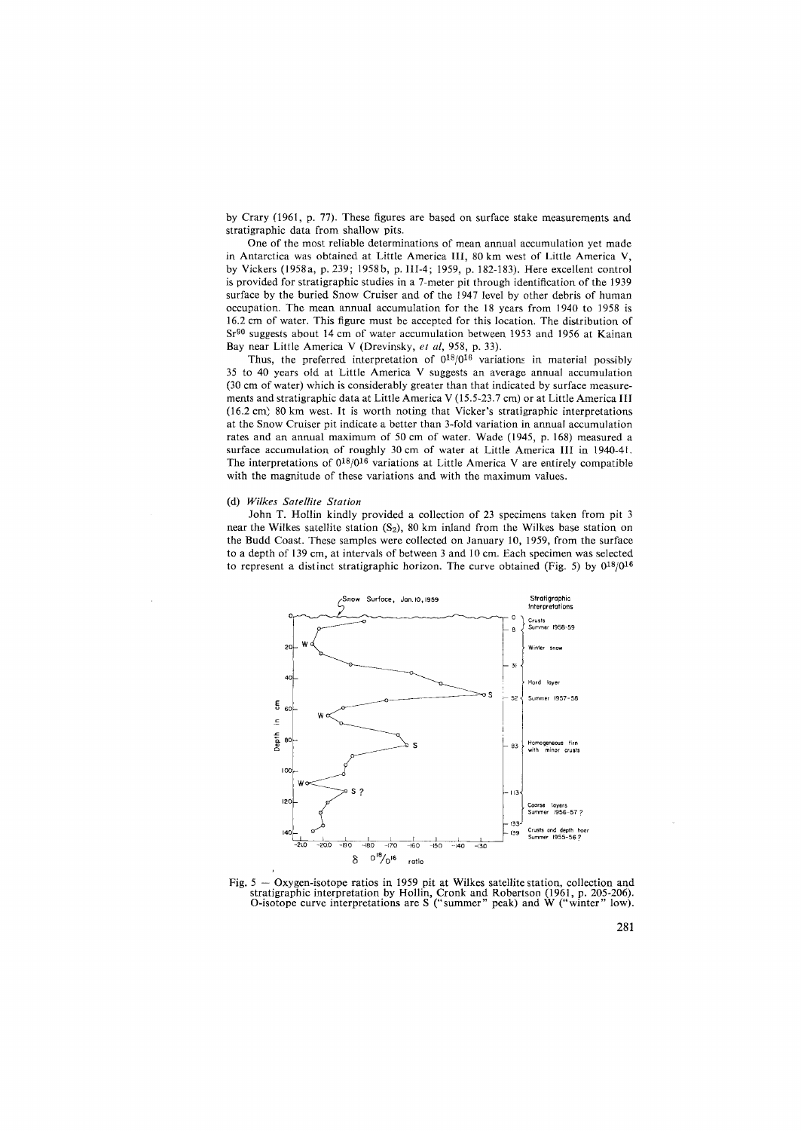by Crary (1961, p. 77). These figures are based on surface stake measurements and stratigraphic data from shallow pits.

One of the most reliable determinations of mean annual accumulation yet made in Antarctica was obtained at Little America III, 80 km west of Little America V, by Vickers (1958a, p. 239; 1958b, p. III-4; 1959, p. 182-183). Here excellent control is provided for stratigraphic studies in a 7-meter pit through identification of the 1939 surface by the buried Snow Cruiser and of the 1947 level by other debris of human occupation. The mean annual accumulation for the 18 years from 1940 to 1958 is 16.2 cm of water. This figure must be accepted for this location. The distribution of Sr90 suggests about 14 cm of water accumulation between 1953 and 1956 at Kainan Bay near Little America V (Drevinsky, *et al,* 958, p. 33).

Thus, the preferred interpretation of  $0^{18}/0^{16}$  variations in material possibly 35 to 40 years old at Little America V suggests an average annual accumulation (30 cm of water) which is considerably greater than that indicated by surface measurements and stratigraphic data at Little America V (15.5-23. 7 cm) or at Little America III (16.2 cm) 80 km west. It is worth noting that Vicker's stratigraphic interpretations at the Snow Cruiser pit indicate a better than 3-fold variation in annual accumulation rates and an annual maximum of 50 cm of water. Wade (1945, p. 168) measured a surface accumulation of roughly 30 cm of water at Little America III in 1940-41. The interpretations of  $0^{18}/0^{16}$  variations at Little America V are entirely compatible with the magnitude of these variations and with the maximum values.

#### (d) *Wilkes Satellite Station*

John T. Hollin kindly provided a collection of 23 specimens taken from pit 3 near the Wilkes satellite station  $(S_2)$ , 80 km inland from the Wilkes base station on the Budd Coast. These samples were collected on January 10, 1959, from the surface to a depth of 139 cm, at intervals of between 3 and 10 cm. Each specimen was selected to represent a distinct stratigraphic horizon. The curve obtained (Fig. 5) by  $0^{18}/0^{16}$ 



Fig. 5 – Oxygen-isotope ratios in 1959 pit at Wilkes satellite station, collection and stratigraphic interpretation by Hollin, Cronk and Robertson (1961, p. 205-206). O-isotope curve interpretations are S ("summer" peak) a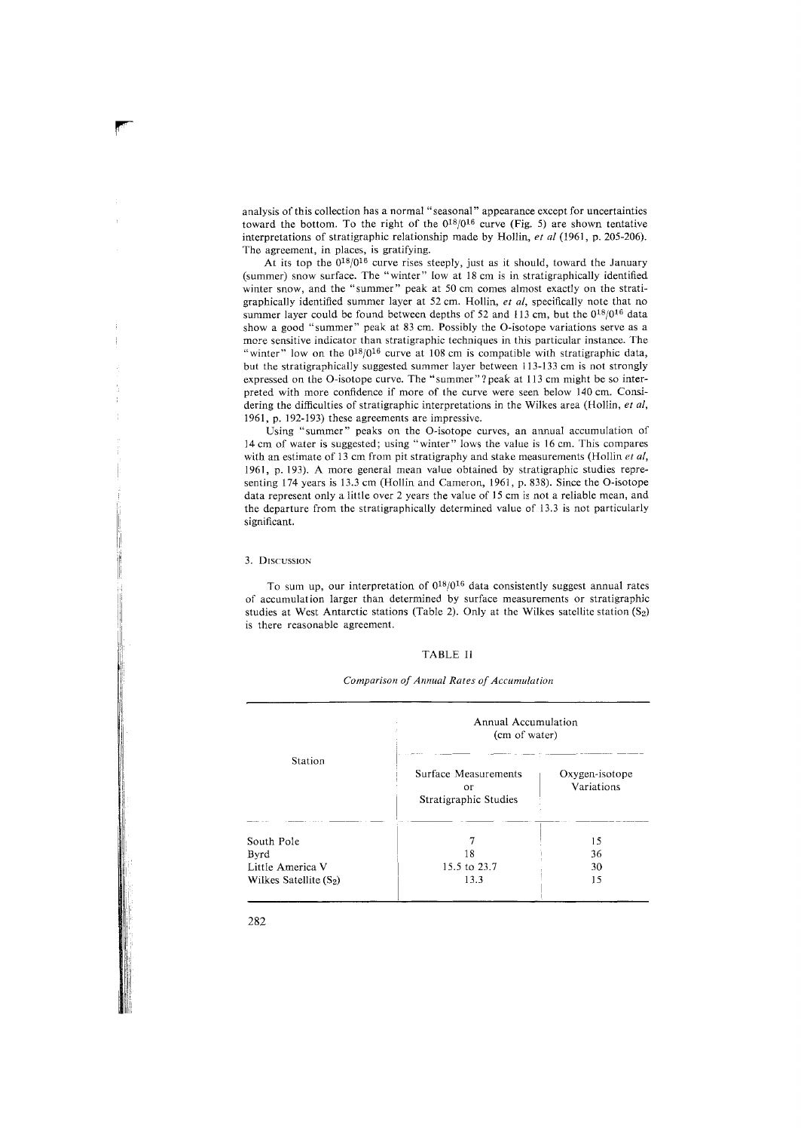analysis of this collection has a normal "seasonal" appearance except for uncertainties toward the bottom. To the right of the  $0^{18}/0^{16}$  curve (Fig. 5) are shown tentative interpretations of stratigraphic relationship made by Hollin, *et al* (1961, p. 205-206). The agreement, in places, is gratifying.

At its top the  $0^{18}/0^{16}$  curve rises steeply, just as it should, toward the January (summer) snow surface. The "winter" low at 18 cm is in stratigraphically identified winter snow, and the "summer" peak at 50 cm comes almost exactly on the stratigraphically identified summer layer at 52 cm. Hollin, *et al,* specifically note that no summer layer could be found between depths of 52 and 113 cm, but the  $0^{18}/0^{16}$  data show a good "summer" peak at 83 cm. Possibly the 0-isotope variations serve as a more sensitive indicator than stratigraphic techniques in this particular instance. The "winter" low on the  $0^{18}/0^{16}$  curve at 108 cm is compatible with stratigraphic data, but the stratigraphically suggested summer layer between 113-133 cm is not strongly expressed on the O-isotope curve. The "summer"?peak at 113 cm might be so interpreted with more confidence if more of the curve were seen below 140 cm. Considering the difficulties of stratigraphic interpretations in the Wilkes area (Hollin, *et al,*  1961, p. 192-193) these agreements are impressive.

Using "summer" peaks on the 0-isotope curves, an annual accumulation of 14 cm of water is suggested; using "winter" lows the value is 16 cm. This compares with an estimate of 13 cm from pit stratigraphy and stake measurements (Hollin *et al,*  1961, p. 193). A more general mean value obtained by stratigraphic studies representing 174 years is 13.3 cm (Hollin and Cameron, 1961, p. 838). Since the 0-isotope data represent only a little over 2 years the value of 15 cm is not a reliable mean, and the departure from the stratigraphically determined value of 13.3 is not particularly significant.

#### 3. DISCUSSION

To sum up, our interpretation of  $0^{18}/0^{16}$  data consistently suggest annual rates of accumulation larger than determined by surface measurements or stratigraphic studies at West Antarctic stations (Table 2). Only at the Wilkes satellite station  $(S_2)$ is there reasonable agreement.

# TABLE II

| Station                                | Annual Accumulation<br>(cm of water)                |                              |  |
|----------------------------------------|-----------------------------------------------------|------------------------------|--|
|                                        | Surface Measurements<br>or<br>Stratigraphic Studies | Oxygen-isotope<br>Variations |  |
| South Pole<br>Byrd<br>Little America V | 18<br>15.5 to 23.7                                  | 15<br>36<br>30               |  |
| Wilkes Satellite $(S_2)$               | 13.3                                                | 15                           |  |

# *Comparison of Annual Rates of Accumulation*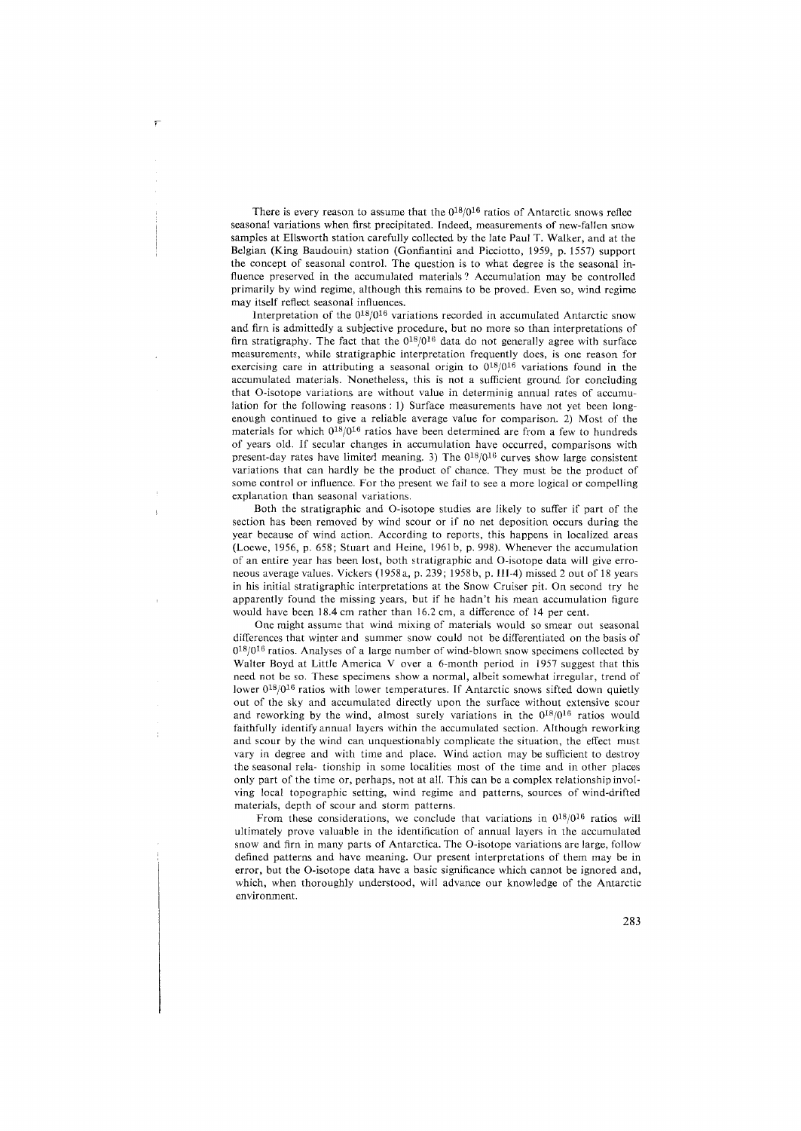There is every reason to assume that the  $0^{18}/0^{16}$  ratios of Antarctic snows reflec seasonal variations when first precipitated. Indeed, measurements of new-fallen snow samples at Ellsworth station carefully collected by the late Paul T. Walker, and at the Belgian (King Baudouin) station (Gonfiantini and Picciotto, 1959, p. 1557) support the concept of seasonal control. The question is to what degree is the seasonal influence preserved in the accumulated materials? Accumulation may be controlled primarily by wind regime, although this remains to be proved. Even so, wind regime may itself reflect seasonal influences.

Interpretation of the 018/016 variations recorded in accumulated Antarctic snow and firn is admittedly a subjective procedure, but no more so than interpretations of firn stratigraphy. The fact that the  $0^{18}/0^{16}$  data do not generally agree with surface measurements, while stratigraphic interpretation frequently does, is one reason for exercising care in attributing a seasonal origin to  $0^{18}/0^{16}$  variations found in the accumulated materials. Nonetheless, this is not a sufficient ground for concluding that 0-isotope variations are without value in determinig annual rates of accumulation for the following reasons: 1) Surface measurements have not yet been longenough continued to give a reliable average value for comparison. 2) Most of the materials for which 018/016 ratios have been determined are from a few to hundreds of years old. If secular changes in accumulation have occurred, comparisons with present-day rates have limited meaning. 3) The  $0^{18}/0^{16}$  curves show large consistent variations that can hardly be the product of chance. They must be the product of some control or influence. For the present we fail to see a more logical or compelling explanation than seasonal variations.

Both the stratigraphic and 0-isotope studies are likely to suffer if part of the section has been removed by wind scour or if no net deposition occurs during the year because of wind action. According to reports, this happens in localized areas (Loewe, 1956, p. 658; Stuart and Heine, 1961 b, p. 998). Whenever the accumulation of an entire year has been lost, both stratigraphic and 0-isotope data will give erroneous average values. Vickers (1958a, p. 239; 1958b, p. III-4) missed 2 out of 18 years in his initial stratigraphic interpretations at the Snow Cruiser pit. On second try he apparently found the missing years, but if he hadn't his mean accumulation figure would have been 18.4 cm rather than 16.2 cm, a difference of 14 per cent.

One might assume that wind mixing of materials would so smear out seasonal differences that winter and summer snow could not be differentiated on the basis of 0<sup>18</sup>/0<sup>16</sup> ratios. Analyses of a large number of wind-blown snow specimens collected by Walter Boyd at Little America V over a 6-month period in 1957 suggest that this need not be so. These specimens show a normal, albeit somewhat irregular, trend of lower 0<sup>18</sup>/0<sup>16</sup> ratios with lower temperatures. If Antarctic snows sifted down quietly out of the sky and accumulated directly upon the surface without extensive scour and reworking by the wind, almost surely variations in the  $0^{18}/0^{16}$  ratios would faithfully identify annual layers within the accumulated section. Although reworking and scour by the wind can unquestionably complicate the situation, the effect must vary in degree and with time and place. Wind action may be sufficient to destroy the seasonal rela- tionship in some localities most of the time and in other places only part of the time or, perhaps, not at all. This can be a complex relationship involving local topographic setting, wind regime and patterns, sources of wind-drifted materials, depth of scour and storm patterns.

From these considerations, we conclude that variations in  $0^{18}/0^{16}$  ratios will ultimately prove valuable in the identification of annual layers in the accumulated snow and firn in many parts of Antarctica. The 0-isotope variations are large, follow defined patterns and have meaning. Our present interpretations of them may be in error, but the 0-isotope data have a basic significance which cannot be ignored and, which, when thoroughly understood, will advance our knowledge of the Antarctic environment.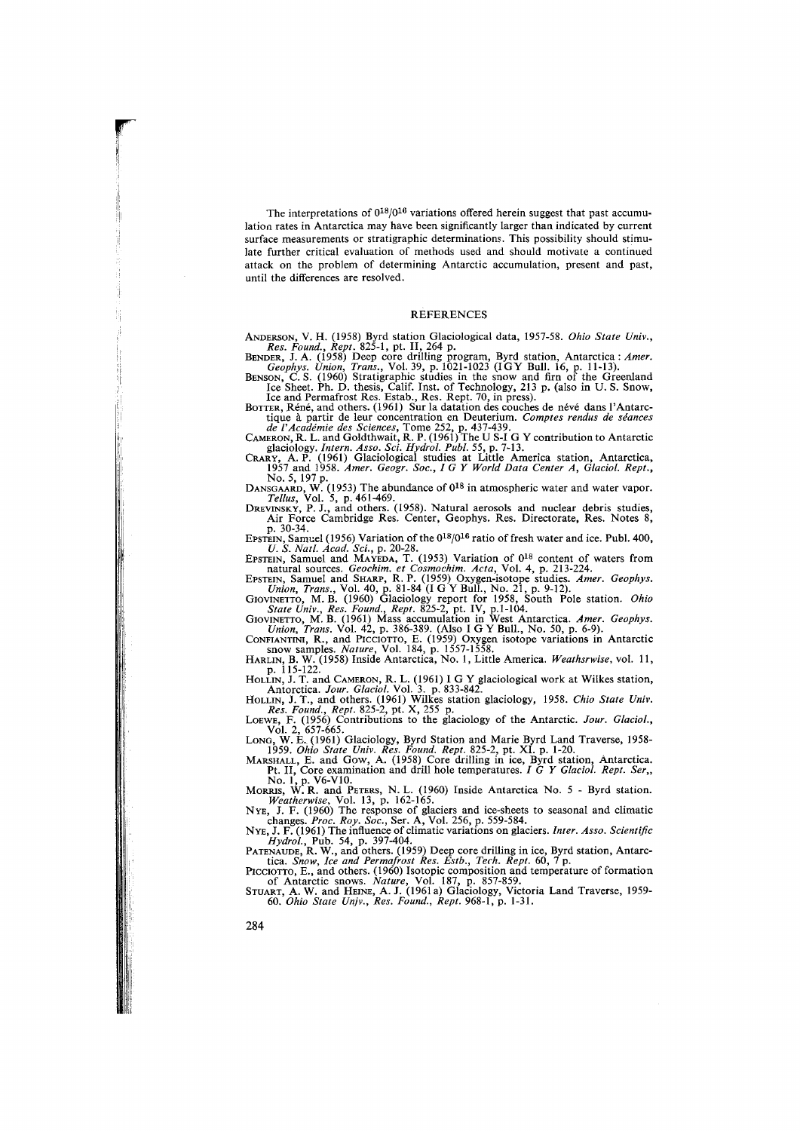The interpretations of  $0^{18}/0^{16}$  variations offered herein suggest that past accumulation rates in Antarctica may have been significantly larger than indicated by current surface measurements or stratigraphic determinations. This possibility should stimulate further critical evaluation of methods used and should motivate a continued attack on the problem of determining Antarctic accumulation, present and past, until the differences are resolved.

## **REFERENCES**

ANDERSON, V. H. (1958) Byrd station Glaciological data, 1957-58. *Ohio State Univ.*, Res. Found., Rept. 825-1, pt. II, 264 p.<br>BENER, J. A. (1958) Deep core drilling program, Byrd station, Antarctica: Amer.<br>Geophys. Union,

tique à partir de leur concentration en Deuterium. Comptes rendus de séances<br>de l'Académie des Sciences, Tome 252, p. 437-439.<br>CAMERON, R. L. and Goldthwait, R. P. (1961) The U S-1 G Y contribution to Antarctic<br>glaciology.

No. 5, 197 p.<br>DANSGAARD, W. (1953) The abundance of 0<sup>18</sup> in atmospheric water and water vapor.<br>Tellus, Vol. 5, p. 461-469.<br>DREVINSKY, P. J., and others. (1958). Natural aerosols and nuclear debris studies,<br>Air Force Cambr

B. 30-34.<br>EPSTEIN, Samuel (1956) Variation of the 0<sup>18</sup>/0<sup>16</sup> ratio of fresh water and ice. Publ. 400,<br>U.S. Natt. *kead.* Sci. 2, 20-23.<br>EPSTEIN, Samuel and MAYEDA, T. (1953) Variation of 0<sup>18</sup> content of waters from<br>natu

r

.

 $\cdot$ 11

I